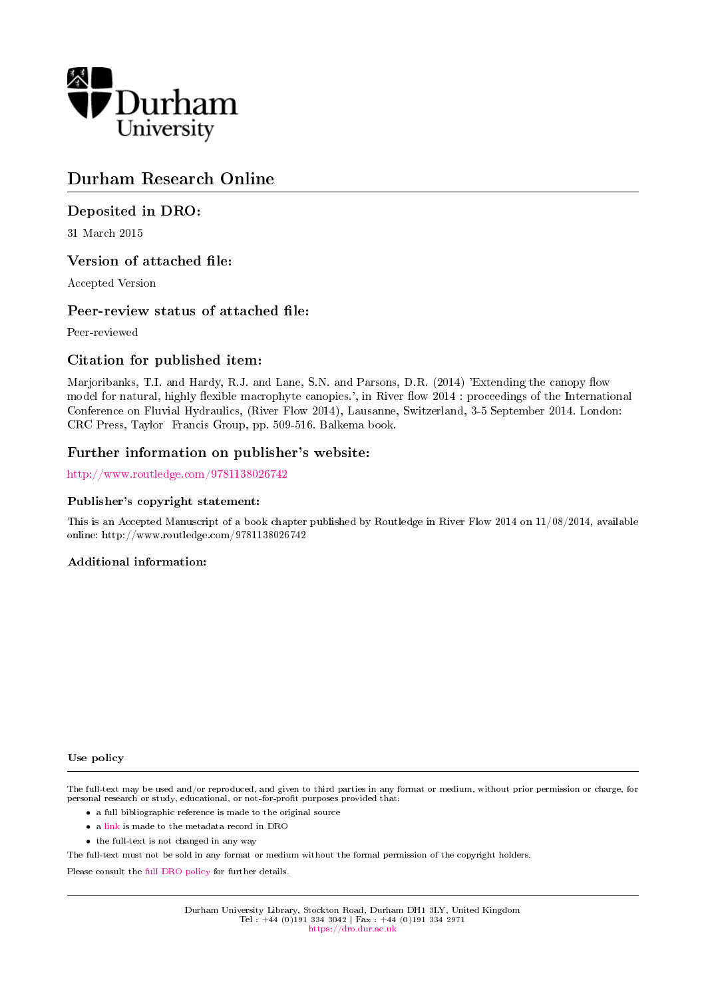

# Durham Research Online

# Deposited in DRO:

31 March 2015

# Version of attached file:

Accepted Version

# Peer-review status of attached file:

Peer-reviewed

# Citation for published item:

Marjoribanks, T.I. and Hardy, R.J. and Lane, S.N. and Parsons, D.R. (2014) 'Extending the canopy flow model for natural, highly flexible macrophyte canopies.', in River flow 2014 : proceedings of the International Conference on Fluvial Hydraulics, (River Flow 2014), Lausanne, Switzerland, 3-5 September 2014. London: CRC Press, Taylor Francis Group, pp. 509-516. Balkema book.

# Further information on publisher's website:

#### <http://www.routledge.com/9781138026742>

#### Publisher's copyright statement:

This is an Accepted Manuscript of a book chapter published by Routledge in River Flow 2014 on 11/08/2014, available online: http://www.routledge.com/9781138026742

#### Additional information:

#### Use policy

The full-text may be used and/or reproduced, and given to third parties in any format or medium, without prior permission or charge, for personal research or study, educational, or not-for-profit purposes provided that:

- a full bibliographic reference is made to the original source
- a [link](http://dro.dur.ac.uk/14937/) is made to the metadata record in DRO
- the full-text is not changed in any way

The full-text must not be sold in any format or medium without the formal permission of the copyright holders.

Please consult the [full DRO policy](https://dro.dur.ac.uk/policies/usepolicy.pdf) for further details.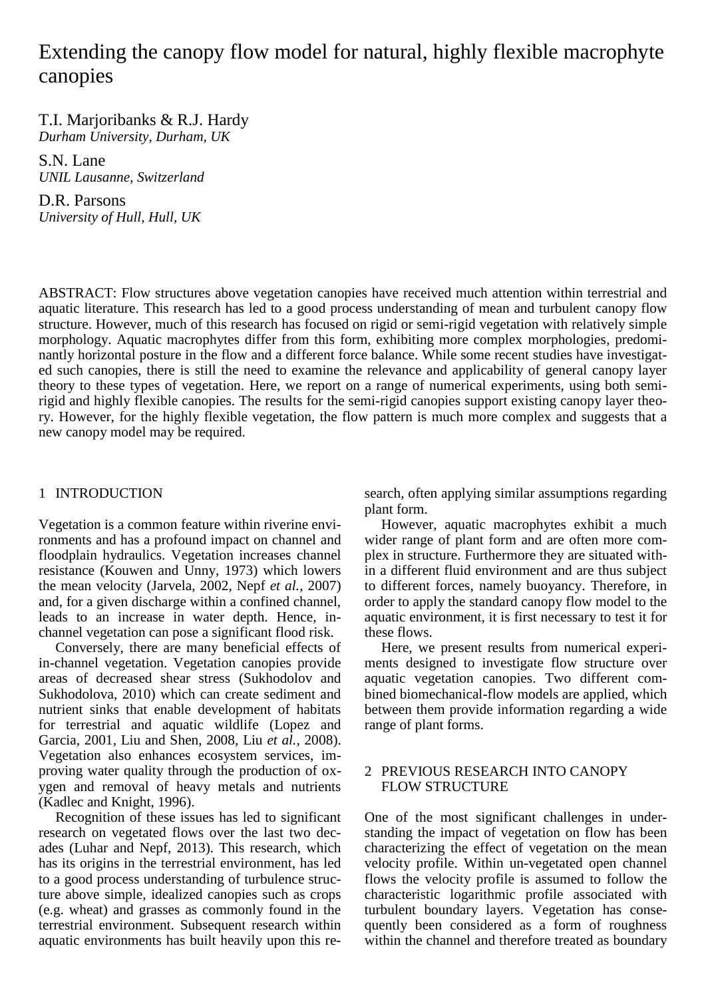# Extending the canopy flow model for natural, highly flexible macrophyte canopies

T.I. Marjoribanks & R.J. Hardy *Durham University, Durham, UK*

S.N. Lane *UNIL Lausanne, Switzerland*

D.R. Parsons *University of Hull, Hull, UK*

ABSTRACT: Flow structures above vegetation canopies have received much attention within terrestrial and aquatic literature. This research has led to a good process understanding of mean and turbulent canopy flow structure. However, much of this research has focused on rigid or semi-rigid vegetation with relatively simple morphology. Aquatic macrophytes differ from this form, exhibiting more complex morphologies, predominantly horizontal posture in the flow and a different force balance. While some recent studies have investigated such canopies, there is still the need to examine the relevance and applicability of general canopy layer theory to these types of vegetation. Here, we report on a range of numerical experiments, using both semirigid and highly flexible canopies. The results for the semi-rigid canopies support existing canopy layer theory. However, for the highly flexible vegetation, the flow pattern is much more complex and suggests that a new canopy model may be required.

# 1 INTRODUCTION

Vegetation is a common feature within riverine environments and has a profound impact on channel and floodplain hydraulics. Vegetation increases channel resistance [\(Kouwen and Unny, 1973\)](#page-8-0) which lowers the mean velocity [\(Jarvela, 2002,](#page-8-1) Nepf *et al.*[, 2007\)](#page-8-2) and, for a given discharge within a confined channel, leads to an increase in water depth. Hence, inchannel vegetation can pose a significant flood risk.

Conversely, there are many beneficial effects of in-channel vegetation. Vegetation canopies provide areas of decreased shear stress [\(Sukhodolov and](#page-8-3)  [Sukhodolova, 2010\)](#page-8-3) which can create sediment and nutrient sinks that enable development of habitats for terrestrial and aquatic wildlife [\(Lopez and](#page-8-4)  [Garcia, 2001,](#page-8-4) [Liu and Shen, 2008,](#page-8-5) Liu *et al.*[, 2008\)](#page-8-6). Vegetation also enhances ecosystem services, improving water quality through the production of oxygen and removal of heavy metals and nutrients [\(Kadlec and Knight, 1996\)](#page-8-7).

Recognition of these issues has led to significant research on vegetated flows over the last two decades [\(Luhar and Nepf, 2013\)](#page-8-8). This research, which has its origins in the terrestrial environment, has led to a good process understanding of turbulence structure above simple, idealized canopies such as crops (e.g. wheat) and grasses as commonly found in the terrestrial environment. Subsequent research within aquatic environments has built heavily upon this research, often applying similar assumptions regarding plant form.

However, aquatic macrophytes exhibit a much wider range of plant form and are often more complex in structure. Furthermore they are situated within a different fluid environment and are thus subject to different forces, namely buoyancy. Therefore, in order to apply the standard canopy flow model to the aquatic environment, it is first necessary to test it for these flows.

Here, we present results from numerical experiments designed to investigate flow structure over aquatic vegetation canopies. Two different combined biomechanical-flow models are applied, which between them provide information regarding a wide range of plant forms.

# 2 PREVIOUS RESEARCH INTO CANOPY FLOW STRUCTURE

One of the most significant challenges in understanding the impact of vegetation on flow has been characterizing the effect of vegetation on the mean velocity profile. Within un-vegetated open channel flows the velocity profile is assumed to follow the characteristic logarithmic profile associated with turbulent boundary layers. Vegetation has consequently been considered as a form of roughness within the channel and therefore treated as boundary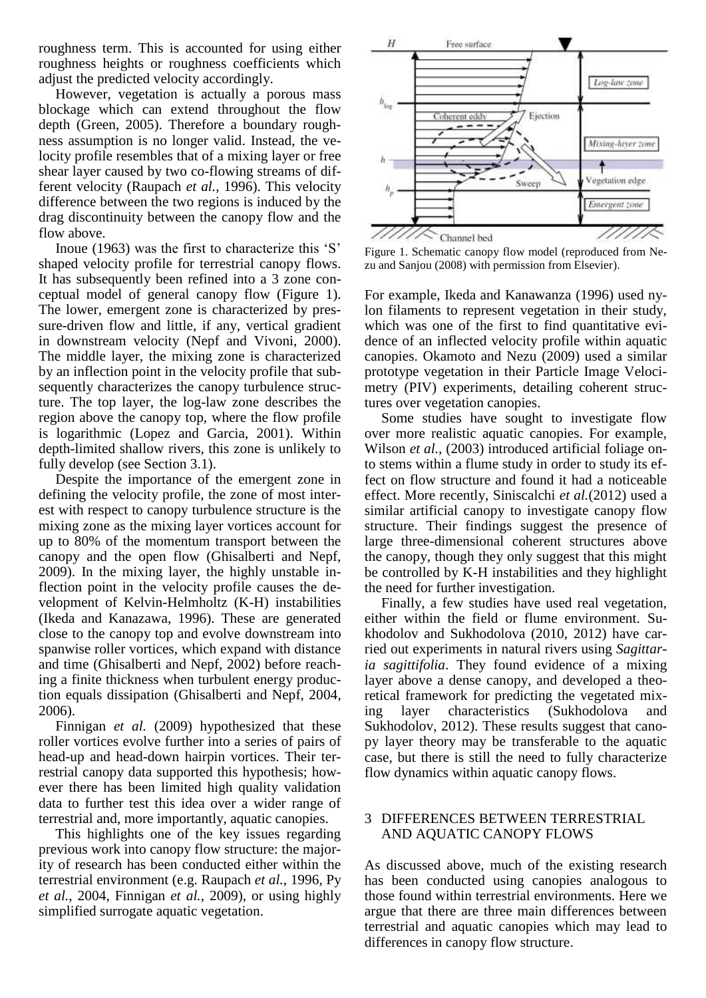roughness term. This is accounted for using either roughness heights or roughness coefficients which adjust the predicted velocity accordingly.

However, vegetation is actually a porous mass blockage which can extend throughout the flow depth [\(Green, 2005\)](#page-8-9). Therefore a boundary roughness assumption is no longer valid. Instead, the velocity profile resembles that of a mixing layer or free shear layer caused by two co-flowing streams of different velocity [\(Raupach](#page-8-10) *et al.*, 1996). This velocity difference between the two regions is induced by the drag discontinuity between the canopy flow and the flow above.

Inoue [\(1963\)](#page-8-11) was the first to characterize this 'S' shaped velocity profile for terrestrial canopy flows. It has subsequently been refined into a 3 zone conceptual model of general canopy flow (Figure 1). The lower, emergent zone is characterized by pressure-driven flow and little, if any, vertical gradient in downstream velocity [\(Nepf and Vivoni, 2000\)](#page-8-12). The middle layer, the mixing zone is characterized by an inflection point in the velocity profile that subsequently characterizes the canopy turbulence structure. The top layer, the log-law zone describes the region above the canopy top, where the flow profile is logarithmic [\(Lopez and Garcia, 2001\)](#page-8-4). Within depth-limited shallow rivers, this zone is unlikely to fully develop (see Section 3.1).

Despite the importance of the emergent zone in defining the velocity profile, the zone of most interest with respect to canopy turbulence structure is the mixing zone as the mixing layer vortices account for up to 80% of the momentum transport between the canopy and the open flow [\(Ghisalberti and Nepf,](#page-8-13)  [2009\)](#page-8-13). In the mixing layer, the highly unstable inflection point in the velocity profile causes the development of Kelvin-Helmholtz (K-H) instabilities [\(Ikeda and Kanazawa, 1996\)](#page-8-14). These are generated close to the canopy top and evolve downstream into spanwise roller vortices, which expand with distance and time [\(Ghisalberti and Nepf, 2002\)](#page-7-0) before reaching a finite thickness when turbulent energy production equals dissipation [\(Ghisalberti and Nepf, 2004,](#page-7-1) [2006\)](#page-8-15).

Finnigan *et al.* [\(2009\)](#page-7-2) hypothesized that these roller vortices evolve further into a series of pairs of head-up and head-down hairpin vortices. Their terrestrial canopy data supported this hypothesis; however there has been limited high quality validation data to further test this idea over a wider range of terrestrial and, more importantly, aquatic canopies.

This highlights one of the key issues regarding previous work into canopy flow structure: the majority of research has been conducted either within the terrestrial environment (e.g. [Raupach](#page-8-10) *et al.*, 1996, [Py](#page-8-16)  *et al.*[, 2004,](#page-8-16) [Finnigan](#page-7-2) *et al.*, 2009), or using highly simplified surrogate aquatic vegetation.



Figure 1. Schematic canopy flow model (reproduced from Nezu and Sanjou [\(2008\)](#page-8-17) with permission from Elsevier).

For example, Ikeda and Kanawanza [\(1996\)](#page-8-14) used nylon filaments to represent vegetation in their study, which was one of the first to find quantitative evidence of an inflected velocity profile within aquatic canopies. Okamoto and Nezu [\(2009\)](#page-8-18) used a similar prototype vegetation in their Particle Image Velocimetry (PIV) experiments, detailing coherent structures over vegetation canopies.

Some studies have sought to investigate flow over more realistic aquatic canopies. For example, Wilson *et al.*, [\(2003\)](#page-8-19) introduced artificial foliage onto stems within a flume study in order to study its effect on flow structure and found it had a noticeable effect. More recently, Siniscalchi *et al.*[\(2012\)](#page-8-20) used a similar artificial canopy to investigate canopy flow structure. Their findings suggest the presence of large three-dimensional coherent structures above the canopy, though they only suggest that this might be controlled by K-H instabilities and they highlight the need for further investigation.

Finally, a few studies have used real vegetation, either within the field or flume environment. Sukhodolov and Sukhodolova [\(2010,](#page-8-3) [2012\)](#page-8-21) have carried out experiments in natural rivers using *Sagittaria sagittifolia*. They found evidence of a mixing layer above a dense canopy, and developed a theoretical framework for predicting the vegetated mixing layer characteristics [\(Sukhodolova and](#page-8-22)  [Sukhodolov, 2012\)](#page-8-22). These results suggest that canopy layer theory may be transferable to the aquatic case, but there is still the need to fully characterize flow dynamics within aquatic canopy flows.

# 3 DIFFERENCES BETWEEN TERRESTRIAL AND AQUATIC CANOPY FLOWS

As discussed above, much of the existing research has been conducted using canopies analogous to those found within terrestrial environments. Here we argue that there are three main differences between terrestrial and aquatic canopies which may lead to differences in canopy flow structure.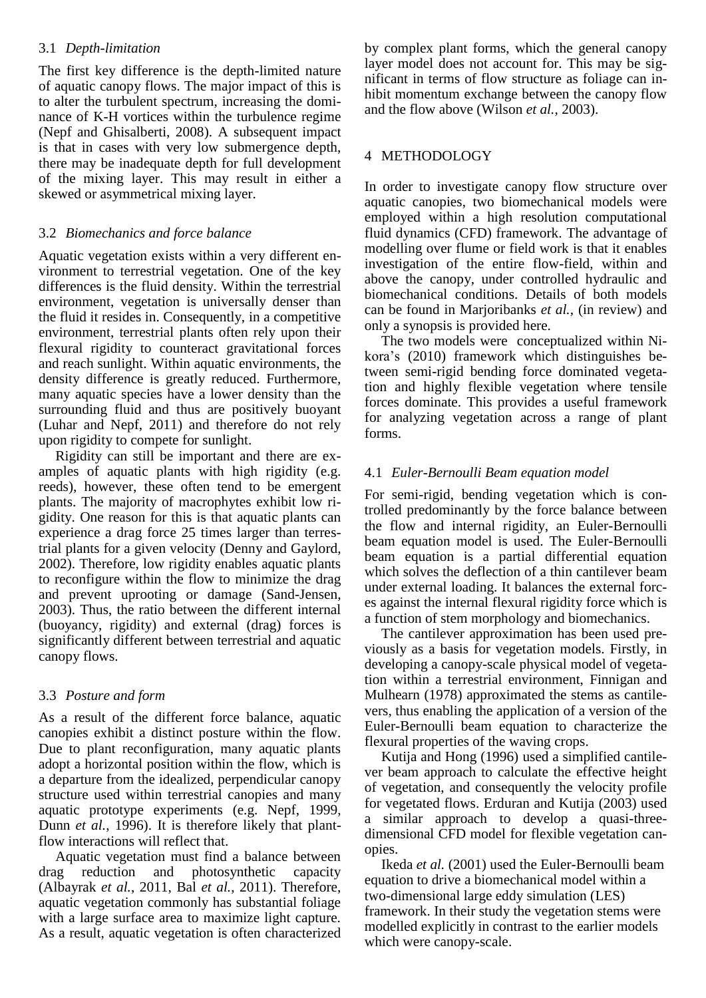### 3.1 *Depth-limitation*

The first key difference is the depth-limited nature of aquatic canopy flows. The major impact of this is to alter the turbulent spectrum, increasing the dominance of K-H vortices within the turbulence regime [\(Nepf and Ghisalberti, 2008\)](#page-8-23). A subsequent impact is that in cases with very low submergence depth, there may be inadequate depth for full development of the mixing layer. This may result in either a skewed or asymmetrical mixing layer.

# 3.2 *Biomechanics and force balance*

Aquatic vegetation exists within a very different environment to terrestrial vegetation. One of the key differences is the fluid density. Within the terrestrial environment, vegetation is universally denser than the fluid it resides in. Consequently, in a competitive environment, terrestrial plants often rely upon their flexural rigidity to counteract gravitational forces and reach sunlight. Within aquatic environments, the density difference is greatly reduced. Furthermore, many aquatic species have a lower density than the surrounding fluid and thus are positively buoyant [\(Luhar and Nepf, 2011\)](#page-8-24) and therefore do not rely upon rigidity to compete for sunlight.

Rigidity can still be important and there are examples of aquatic plants with high rigidity (e.g. reeds), however, these often tend to be emergent plants. The majority of macrophytes exhibit low rigidity. One reason for this is that aquatic plants can experience a drag force 25 times larger than terrestrial plants for a given velocity [\(Denny and Gaylord,](#page-7-3)  [2002\)](#page-7-3). Therefore, low rigidity enables aquatic plants to reconfigure within the flow to minimize the drag and prevent uprooting or damage [\(Sand-Jensen,](#page-8-25)  [2003\)](#page-8-25). Thus, the ratio between the different internal (buoyancy, rigidity) and external (drag) forces is significantly different between terrestrial and aquatic canopy flows.

#### 3.3 *Posture and form*

As a result of the different force balance, aquatic canopies exhibit a distinct posture within the flow. Due to plant reconfiguration, many aquatic plants adopt a horizontal position within the flow, which is a departure from the idealized, perpendicular canopy structure used within terrestrial canopies and many aquatic prototype experiments (e.g. [Nepf, 1999,](#page-8-26) Dunn *et al.*[, 1996\)](#page-7-4). It is therefore likely that plantflow interactions will reflect that.

Aquatic vegetation must find a balance between drag reduction and photosynthetic capacity [\(Albayrak](#page-7-5) *et al.*, 2011, Bal *et al.*[, 2011\)](#page-7-6). Therefore, aquatic vegetation commonly has substantial foliage with a large surface area to maximize light capture. As a result, aquatic vegetation is often characterized by complex plant forms, which the general canopy layer model does not account for. This may be significant in terms of flow structure as foliage can inhibit momentum exchange between the canopy flow and the flow above [\(Wilson](#page-8-19) *et al.*, 2003).

#### 4 METHODOLOGY

In order to investigate canopy flow structure over aquatic canopies, two biomechanical models were employed within a high resolution computational fluid dynamics (CFD) framework. The advantage of modelling over flume or field work is that it enables investigation of the entire flow-field, within and above the canopy, under controlled hydraulic and biomechanical conditions. Details of both models can be found in Marjoribanks *et al.*, [\(in review\)](#page-8-27) and only a synopsis is provided here.

The two models were conceptualized within Nikora's [\(2010\)](#page-8-28) framework which distinguishes between semi-rigid bending force dominated vegetation and highly flexible vegetation where tensile forces dominate. This provides a useful framework for analyzing vegetation across a range of plant forms.

#### 4.1 *Euler-Bernoulli Beam equation model*

For semi-rigid, bending vegetation which is controlled predominantly by the force balance between the flow and internal rigidity, an Euler-Bernoulli beam equation model is used. The Euler-Bernoulli beam equation is a partial differential equation which solves the deflection of a thin cantilever beam under external loading. It balances the external forces against the internal flexural rigidity force which is a function of stem morphology and biomechanics.

The cantilever approximation has been used previously as a basis for vegetation models. Firstly, in developing a canopy-scale physical model of vegetation within a terrestrial environment, Finnigan and Mulhearn [\(1978\)](#page-7-7) approximated the stems as cantilevers, thus enabling the application of a version of the Euler-Bernoulli beam equation to characterize the flexural properties of the waving crops.

Kutija and Hong [\(1996\)](#page-8-29) used a simplified cantilever beam approach to calculate the effective height of vegetation, and consequently the velocity profile for vegetated flows. Erduran and Kutija [\(2003\)](#page-7-8) used a similar approach to develop a quasi-threedimensional CFD model for flexible vegetation canopies.

Ikeda *et al.* [\(2001\)](#page-8-30) used the Euler-Bernoulli beam equation to drive a biomechanical model within a two-dimensional large eddy simulation (LES) framework. In their study the vegetation stems were modelled explicitly in contrast to the earlier models which were canopy-scale.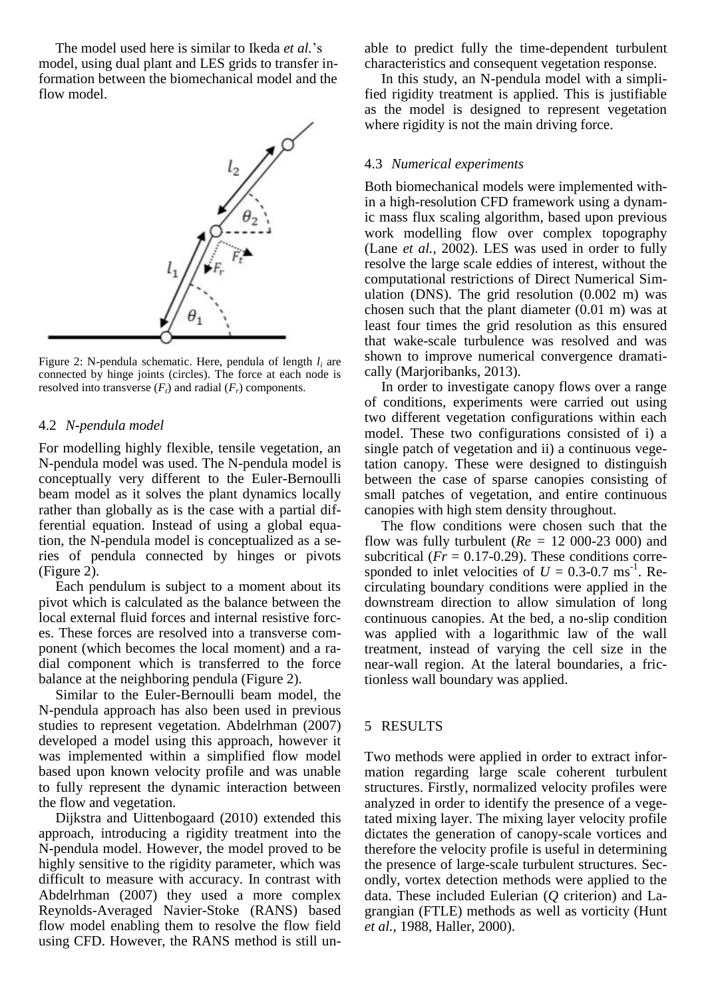The model used here is similar to Ikeda *et al.*'s model, using dual plant and LES grids to transfer information between the biomechanical model and the flow model.



Figure 2: N-pendula schematic. Here, pendula of length *l<sup>i</sup>* are connected by hinge joints (circles). The force at each node is resolved into transverse  $(F_t)$  and radial  $(F_t)$  components.

# 4.2 *N-pendula model*

For modelling highly flexible, tensile vegetation, an N-pendula model was used. The N-pendula model is conceptually very different to the Euler-Bernoulli beam model as it solves the plant dynamics locally rather than globally as is the case with a partial differential equation. Instead of using a global equation, the N-pendula model is conceptualized as a series of pendula connected by hinges or pivots (Figure 2).

Each pendulum is subject to a moment about its pivot which is calculated as the balance between the local external fluid forces and internal resistive forces. These forces are resolved into a transverse component (which becomes the local moment) and a radial component which is transferred to the force balance at the neighboring pendula (Figure 2).

Similar to the Euler-Bernoulli beam model, the N-pendula approach has also been used in previous studies to represent vegetation. Abdelrhman [\(2007\)](#page-7-9) developed a model using this approach, however it was implemented within a simplified flow model based upon known velocity profile and was unable to fully represent the dynamic interaction between the flow and vegetation.

Dijkstra and Uittenbogaard [\(2010\)](#page-7-10) extended this approach, introducing a rigidity treatment into the N-pendula model. However, the model proved to be highly sensitive to the rigidity parameter, which was difficult to measure with accuracy. In contrast with Abdelrhman (2007) they used a more complex Reynolds-Averaged Navier-Stoke (RANS) based flow model enabling them to resolve the flow field using CFD. However, the RANS method is still unable to predict fully the time-dependent turbulent characteristics and consequent vegetation response.

In this study, an N-pendula model with a simplified rigidity treatment is applied. This is justifiable as the model is designed to represent vegetation where rigidity is not the main driving force.

#### 4.3 *Numerical experiments*

Both biomechanical models were implemented within a high-resolution CFD framework using a dynamic mass flux scaling algorithm, based upon previous work modelling flow over complex topography (Lane *et al.*[, 2002\)](#page-8-31). LES was used in order to fully resolve the large scale eddies of interest, without the computational restrictions of Direct Numerical Simulation (DNS). The grid resolution (0.002 m) was chosen such that the plant diameter (0.01 m) was at least four times the grid resolution as this ensured that wake-scale turbulence was resolved and was shown to improve numerical convergence dramatically [\(Marjoribanks, 2013\)](#page-8-32).

In order to investigate canopy flows over a range of conditions, experiments were carried out using two different vegetation configurations within each model. These two configurations consisted of i) a single patch of vegetation and ii) a continuous vegetation canopy. These were designed to distinguish between the case of sparse canopies consisting of small patches of vegetation, and entire continuous canopies with high stem density throughout.

The flow conditions were chosen such that the flow was fully turbulent ( $Re = 12,000-23,000$ ) and subcritical  $(Fr = 0.17-0.29)$ . These conditions corresponded to inlet velocities of  $U = 0.3$ -0.7 ms<sup>-1</sup>. Recirculating boundary conditions were applied in the downstream direction to allow simulation of long continuous canopies. At the bed, a no-slip condition was applied with a logarithmic law of the wall treatment, instead of varying the cell size in the near-wall region. At the lateral boundaries, a frictionless wall boundary was applied.

#### 5 RESULTS

Two methods were applied in order to extract information regarding large scale coherent turbulent structures. Firstly, normalized velocity profiles were analyzed in order to identify the presence of a vegetated mixing layer. The mixing layer velocity profile dictates the generation of canopy-scale vortices and therefore the velocity profile is useful in determining the presence of large-scale turbulent structures. Secondly, vortex detection methods were applied to the data. These included Eulerian (*Q* criterion) and Lagrangian (FTLE) methods as well as vorticity [\(Hunt](#page-8-33)  *et al.*[, 1988,](#page-8-33) [Haller, 2000\)](#page-8-34).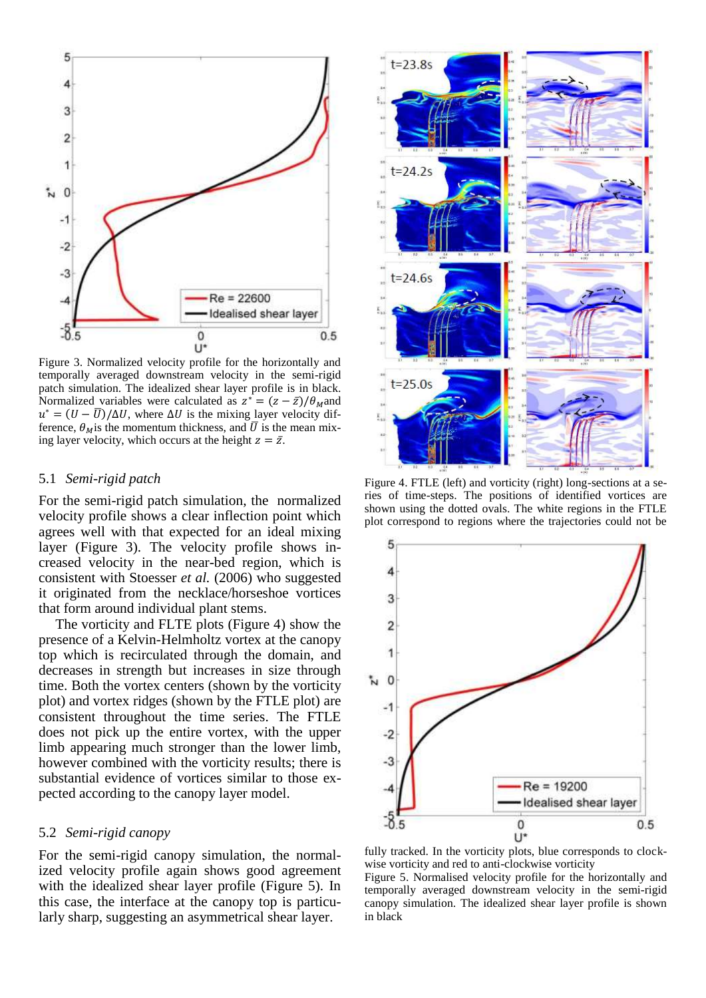

Figure 3. Normalized velocity profile for the horizontally and temporally averaged downstream velocity in the semi-rigid patch simulation. The idealized shear layer profile is in black. Normalized variables were calculated as  $z^* = (z - \bar{z})/\theta_M$  and  $u^* = (U - \overline{U})/\Delta U$ , where  $\Delta U$  is the mixing layer velocity difference,  $\theta_M$  is the momentum thickness, and  $\overline{U}$  is the mean mixing layer velocity, which occurs at the height  $z = \overline{z}$ .

#### 5.1 *Semi-rigid patch*

For the semi-rigid patch simulation, the normalized velocity profile shows a clear inflection point which agrees well with that expected for an ideal mixing layer (Figure 3). The velocity profile shows increased velocity in the near-bed region, which is consistent with Stoesser *et al.* [\(2006\)](#page-8-35) who suggested it originated from the necklace/horseshoe vortices that form around individual plant stems.

The vorticity and FLTE plots (Figure 4) show the presence of a Kelvin-Helmholtz vortex at the canopy top which is recirculated through the domain, and decreases in strength but increases in size through time. Both the vortex centers (shown by the vorticity plot) and vortex ridges (shown by the FTLE plot) are consistent throughout the time series. The FTLE does not pick up the entire vortex, with the upper limb appearing much stronger than the lower limb, however combined with the vorticity results; there is substantial evidence of vortices similar to those expected according to the canopy layer model.

#### 5.2 *Semi-rigid canopy*

For the semi-rigid canopy simulation, the normalized velocity profile again shows good agreement with the idealized shear layer profile (Figure 5). In this case, the interface at the canopy top is particularly sharp, suggesting an asymmetrical shear layer.



Figure 4. FTLE (left) and vorticity (right) long-sections at a series of time-steps. The positions of identified vortices are shown using the dotted ovals. The white regions in the FTLE plot correspond to regions where the trajectories could not be



fully tracked. In the vorticity plots, blue corresponds to clockwise vorticity and red to anti-clockwise vorticity

Figure 5. Normalised velocity profile for the horizontally and temporally averaged downstream velocity in the semi-rigid canopy simulation. The idealized shear layer profile is shown in black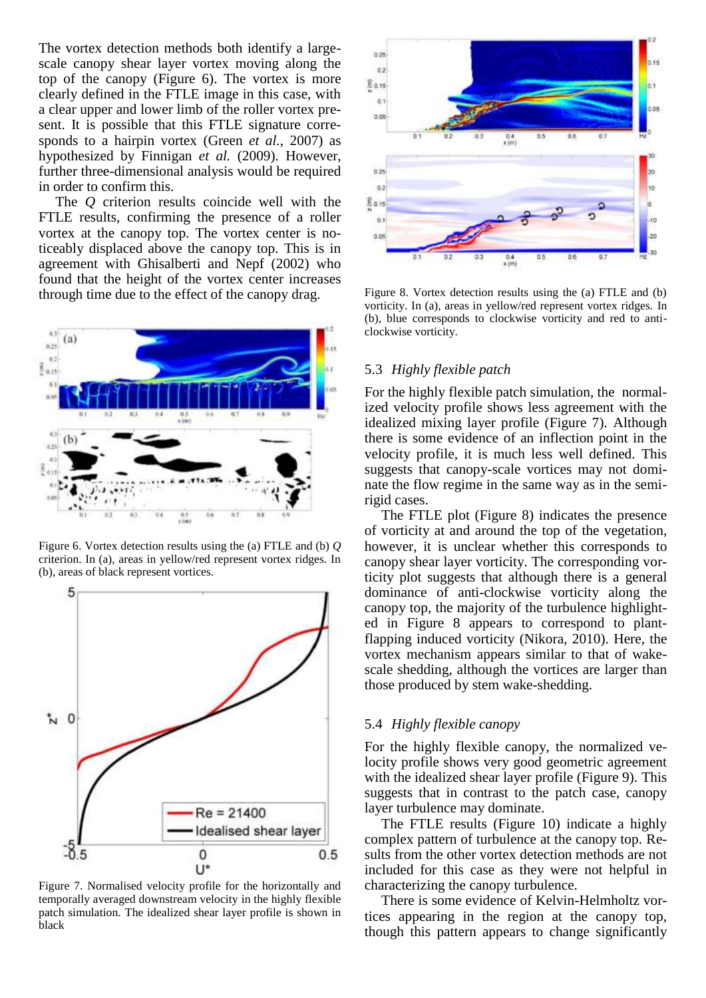The vortex detection methods both identify a largescale canopy shear layer vortex moving along the top of the canopy (Figure 6). The vortex is more clearly defined in the FTLE image in this case, with a clear upper and lower limb of the roller vortex present. It is possible that this FTLE signature corresponds to a hairpin vortex [\(Green](#page-8-36) *et al.*, 2007) as hypothesized by Finnigan *et al.* (2009). However, further three-dimensional analysis would be required in order to confirm this.

The *Q* criterion results coincide well with the FTLE results, confirming the presence of a roller vortex at the canopy top. The vortex center is noticeably displaced above the canopy top. This is in agreement with Ghisalberti and Nepf (2002) who found that the height of the vortex center increases through time due to the effect of the canopy drag.



Figure 6. Vortex detection results using the (a) FTLE and (b) *Q* criterion. In (a), areas in yellow/red represent vortex ridges. In (b), areas of black represent vortices.



Figure 7. Normalised velocity profile for the horizontally and temporally averaged downstream velocity in the highly flexible patch simulation. The idealized shear layer profile is shown in black



Figure 8. Vortex detection results using the (a) FTLE and (b) vorticity. In (a), areas in yellow/red represent vortex ridges. In (b), blue corresponds to clockwise vorticity and red to anticlockwise vorticity.

# 5.3 *Highly flexible patch*

For the highly flexible patch simulation, the normalized velocity profile shows less agreement with the idealized mixing layer profile (Figure 7). Although there is some evidence of an inflection point in the velocity profile, it is much less well defined. This suggests that canopy-scale vortices may not dominate the flow regime in the same way as in the semirigid cases.

The FTLE plot (Figure 8) indicates the presence of vorticity at and around the top of the vegetation, however, it is unclear whether this corresponds to canopy shear layer vorticity. The corresponding vorticity plot suggests that although there is a general dominance of anti-clockwise vorticity along the canopy top, the majority of the turbulence highlighted in Figure 8 appears to correspond to plantflapping induced vorticity [\(Nikora, 2010\)](#page-8-28). Here, the vortex mechanism appears similar to that of wakescale shedding, although the vortices are larger than those produced by stem wake-shedding.

#### 5.4 *Highly flexible canopy*

For the highly flexible canopy, the normalized velocity profile shows very good geometric agreement with the idealized shear layer profile (Figure 9). This suggests that in contrast to the patch case, canopy layer turbulence may dominate.

The FTLE results (Figure 10) indicate a highly complex pattern of turbulence at the canopy top. Results from the other vortex detection methods are not included for this case as they were not helpful in characterizing the canopy turbulence.

There is some evidence of Kelvin-Helmholtz vortices appearing in the region at the canopy top, though this pattern appears to change significantly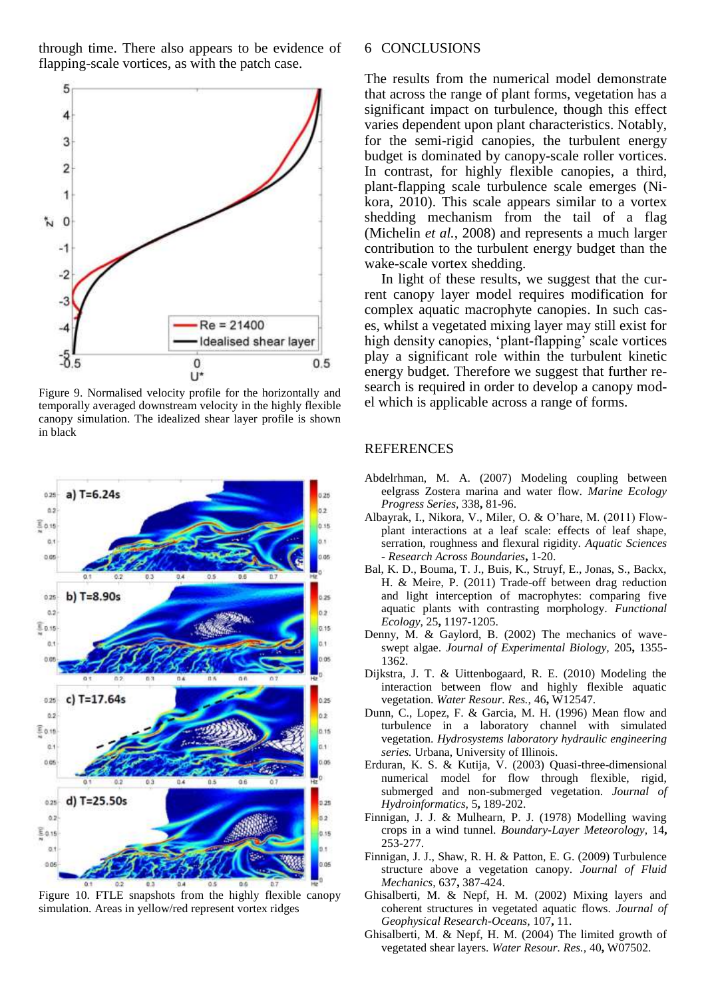through time. There also appears to be evidence of flapping-scale vortices, as with the patch case.



Figure 9. Normalised velocity profile for the horizontally and temporally averaged downstream velocity in the highly flexible canopy simulation. The idealized shear layer profile is shown in black



Figure 10. FTLE snapshots from the highly flexible canopy simulation. Areas in yellow/red represent vortex ridges

# 6 CONCLUSIONS

The results from the numerical model demonstrate that across the range of plant forms, vegetation has a significant impact on turbulence, though this effect varies dependent upon plant characteristics. Notably, for the semi-rigid canopies, the turbulent energy budget is dominated by canopy-scale roller vortices. In contrast, for highly flexible canopies, a third, plant-flapping scale turbulence scale emerges (Nikora, 2010). This scale appears similar to a vortex shedding mechanism from the tail of a flag [\(Michelin](#page-8-37) *et al.*, 2008) and represents a much larger contribution to the turbulent energy budget than the wake-scale vortex shedding.

In light of these results, we suggest that the current canopy layer model requires modification for complex aquatic macrophyte canopies. In such cases, whilst a vegetated mixing layer may still exist for high density canopies, 'plant-flapping' scale vortices play a significant role within the turbulent kinetic energy budget. Therefore we suggest that further research is required in order to develop a canopy model which is applicable across a range of forms.

### **REFERENCES**

- <span id="page-7-9"></span>Abdelrhman, M. A. (2007) Modeling coupling between eelgrass Zostera marina and water flow. *Marine Ecology Progress Series,* 338**,** 81-96.
- <span id="page-7-5"></span>Albayrak, I., Nikora, V., Miler, O. & O'hare, M. (2011) Flowplant interactions at a leaf scale: effects of leaf shape, serration, roughness and flexural rigidity. *Aquatic Sciences - Research Across Boundaries***,** 1-20.
- <span id="page-7-6"></span>Bal, K. D., Bouma, T. J., Buis, K., Struyf, E., Jonas, S., Backx, H. & Meire, P. (2011) Trade-off between drag reduction and light interception of macrophytes: comparing five aquatic plants with contrasting morphology. *Functional Ecology,* 25**,** 1197-1205.
- <span id="page-7-3"></span>Denny, M. & Gaylord, B. (2002) The mechanics of waveswept algae. *Journal of Experimental Biology,* 205**,** 1355- 1362.
- <span id="page-7-10"></span>Dijkstra, J. T. & Uittenbogaard, R. E. (2010) Modeling the interaction between flow and highly flexible aquatic vegetation. *Water Resour. Res.,* 46**,** W12547.
- <span id="page-7-4"></span>Dunn, C., Lopez, F. & Garcia, M. H. (1996) Mean flow and turbulence in a laboratory channel with simulated vegetation. *Hydrosystems laboratory hydraulic engineering series.* Urbana, University of Illinois.
- <span id="page-7-8"></span>Erduran, K. S. & Kutija, V. (2003) Quasi-three-dimensional numerical model for flow through flexible, rigid, submerged and non-submerged vegetation. *Journal of Hydroinformatics,* 5**,** 189-202.
- <span id="page-7-7"></span>Finnigan, J. J. & Mulhearn, P. J. (1978) Modelling waving crops in a wind tunnel. *Boundary-Layer Meteorology,* 14**,** 253-277.
- <span id="page-7-2"></span>Finnigan, J. J., Shaw, R. H. & Patton, E. G. (2009) Turbulence structure above a vegetation canopy. *Journal of Fluid Mechanics,* 637**,** 387-424.
- <span id="page-7-0"></span>Ghisalberti, M. & Nepf, H. M. (2002) Mixing layers and coherent structures in vegetated aquatic flows. *Journal of Geophysical Research-Oceans,* 107**,** 11.
- <span id="page-7-1"></span>Ghisalberti, M. & Nepf, H. M. (2004) The limited growth of vegetated shear layers. *Water Resour. Res.,* 40**,** W07502.